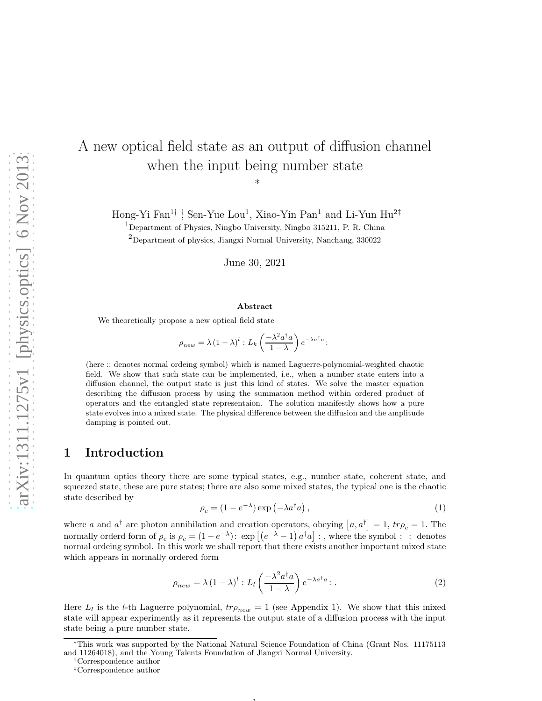# A new optical field state as an output of diffusion channel when the input being number state

∗

Hong-Yi Fan<sup>1†</sup> <sup>†</sup>, Sen-Yue Lou<sup>1</sup>, Xiao-Yin Pan<sup>1</sup> and Li-Yun Hu<sup>2‡</sup>

<sup>1</sup>Department of Physics, Ningbo University, Ningbo 315211, P. R. China

<sup>2</sup>Department of physics, Jiangxi Normal University, Nanchang, 330022

June 30, 2021

#### Abstract

We theoretically propose a new optical field state

 $\rho_{new} = \lambda (1 - \lambda)^l : L_k \left( \frac{-\lambda^2 a^{\dagger} a}{1 - \lambda} \right)$  $1 - \lambda$  $\Big\}\,e^{-\lambda a^\dagger a}$ :

(here :: denotes normal ordeing symbol) which is named Laguerre-polynomial-weighted chaotic field. We show that such state can be implemented, i.e., when a number state enters into a diffusion channel, the output state is just this kind of states. We solve the master equation describing the diffusion process by using the summation method within ordered product of operators and the entangled state representaion. The solution manifestly shows how a pure state evolves into a mixed state. The physical difference between the diffusion and the amplitude damping is pointed out.

### 1 Introduction

In quantum optics theory there are some typical states, e.g., number state, coherent state, and squeezed state, these are pure states; there are also some mixed states, the typical one is the chaotic state described by

$$
\rho_c = (1 - e^{-\lambda}) \exp\left(-\lambda a^\dagger a\right),\tag{1}
$$

where a and  $a^{\dagger}$  are photon annihilation and creation operators, obeying  $[a, a^{\dagger}] = 1$ ,  $tr\rho_c = 1$ . The normally orderd form of  $\rho_c$  is  $\rho_c = (1 - e^{-\lambda})$ :  $\exp\left[\left(e^{-\lambda} - 1\right)a^\dagger a\right]$ : , where the symbol : : denotes normal ordeing symbol. In this work we shall report that there exists another important mixed state which appears in normally ordered form

<span id="page-0-0"></span>
$$
\rho_{new} = \lambda \left(1 - \lambda\right)^l : L_l\left(\frac{-\lambda^2 a^\dagger a}{1 - \lambda}\right) e^{-\lambda a^\dagger a} : . \tag{2}
$$

Here  $L_l$  is the *l*-th Laguerre polynomial,  $tr\rho_{new} = 1$  (see Appendix 1). We show that this mixed state will appear experimently as it represents the output state of a diffusion process with the input state being a pure number state.

<sup>∗</sup>This work was supported by the National Natural Science Foundation of China (Grant Nos. 11175113 and 11264018), and the Young Talents Foundation of Jiangxi Normal University.

<sup>†</sup>Correspondence author

<sup>‡</sup>Correspondence author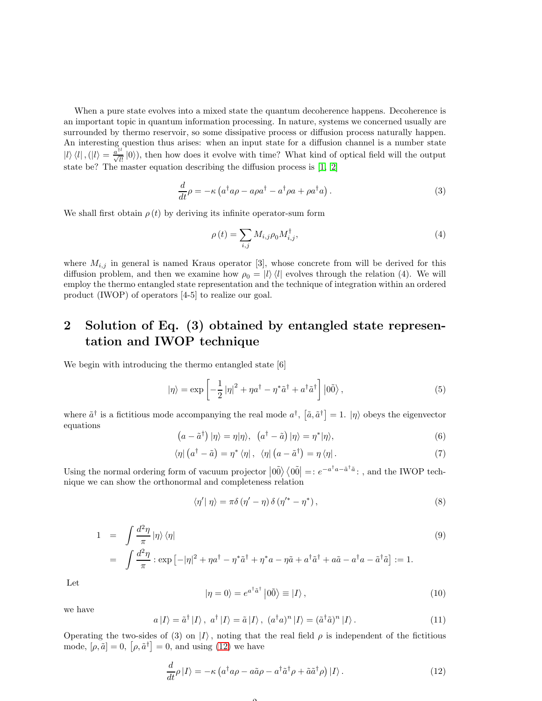When a pure state evolves into a mixed state the quantum decoherence happens. Decoherence is an important topic in quantum information processing. In nature, systems we concerned usually are surrounded by thermo reservoir, so some dissipative process or diffusion process naturally happen. An interesting question thus arises: when an input state for a diffusion channel is a number state  $|l\rangle\langle l|, (|l\rangle = \frac{\dot{a}^{t}}{\sqrt{l!}}|0\rangle)$ , then how does it evolve with time? What kind of optical field will the output state be? The master equation describing the diffusion process is [\[1](#page-7-0), [2\]](#page-7-1)

$$
\frac{d}{dt}\rho = -\kappa \left( a^{\dagger}a\rho - a\rho a^{\dagger} - a^{\dagger}\rho a + \rho a^{\dagger}a \right). \tag{3}
$$

We shall first obtain  $\rho(t)$  by deriving its infinite operator-sum form

$$
\rho(t) = \sum_{i,j} M_{i,j} \rho_0 M_{i,j}^{\dagger}, \qquad (4)
$$

where  $M_{i,j}$  in general is named Kraus operator [3], whose concrete from will be derived for this diffusion problem, and then we examine how  $\rho_0 = |l\rangle\langle l|$  evolves through the relation (4). We will employ the thermo entangled state representation and the technique of integration within an ordered product (IWOP) of operators [4-5] to realize our goal.

## 2 Solution of Eq. (3) obtained by entangled state representation and IWOP technique

We begin with introducing the thermo entangled state [6]

$$
|\eta\rangle = \exp\left[-\frac{1}{2}|\eta|^2 + \eta a^\dagger - \eta^* \tilde{a}^\dagger + a^\dagger \tilde{a}^\dagger\right] |0\tilde{0}\rangle, \tag{5}
$$

where  $\tilde{a}^{\dagger}$  is a fictitious mode accompanying the real mode  $a^{\dagger}$ ,  $[\tilde{a}, \tilde{a}^{\dagger}] = 1$ .  $|\eta\rangle$  obeys the eigenvector equations

$$
(a - \tilde{a}^{\dagger}) \left| \eta \right\rangle = \eta | \eta \rangle, \quad (a^{\dagger} - \tilde{a}) \left| \eta \right\rangle = \eta^* | \eta \rangle, \tag{6}
$$

$$
\langle \eta | \left( a^{\dagger} - \tilde{a} \right) = \eta^* \left( \eta \right], \quad \langle \eta | \left( a - \tilde{a}^{\dagger} \right) = \eta \left( \eta \right]. \tag{7}
$$

Using the normal ordering form of vacuum projector  $|00\rangle\langle00| =: e^{-a^{\dagger}a - \tilde{a}^{\dagger}\tilde{a}}:$ , and the IWOP technique we can show the orthonormal and completeness relation

$$
\langle \eta' | \eta \rangle = \pi \delta (\eta' - \eta) \delta (\eta'^* - \eta^*), \qquad (8)
$$

<span id="page-1-1"></span>
$$
1 = \int \frac{d^2 \eta}{\pi} |\eta\rangle \langle \eta|
$$
\n
$$
= \int \frac{d^2 \eta}{\pi} : \exp\left[-|\eta|^2 + \eta a^\dagger - \eta^* \tilde{a}^\dagger + \eta^* a - \eta \tilde{a} + a^\dagger \tilde{a}^\dagger + a \tilde{a} - a^\dagger a - \tilde{a}^\dagger \tilde{a}\right] := 1.
$$
\n(9)

Let

$$
|\eta = 0\rangle = e^{a^{\dagger} \tilde{a}^{\dagger}} |0\tilde{0}\rangle \equiv |I\rangle , \qquad (10)
$$

we have

$$
a |I\rangle = \tilde{a}^{\dagger} |I\rangle, \ a^{\dagger} |I\rangle = \tilde{a} |I\rangle, \ (a^{\dagger} a)^{n} |I\rangle = (\tilde{a}^{\dagger} \tilde{a})^{n} |I\rangle. \tag{11}
$$

Operating the two-sides of (3) on  $|I\rangle$ , noting that the real field  $\rho$  is independent of the fictitious mode,  $[\rho, \tilde{a}] = 0$ ,  $|\rho, \tilde{a}^{\dagger}| = 0$ , and using [\(12\)](#page-1-0) we have

 $\Omega$ 

<span id="page-1-0"></span>
$$
\frac{d}{dt}\rho\left|I\right\rangle = -\kappa\left(a^{\dagger}a\rho - a\tilde{a}\rho - a^{\dagger}\tilde{a}^{\dagger}\rho + \tilde{a}\tilde{a}^{\dagger}\rho\right)\left|I\right\rangle. \tag{12}
$$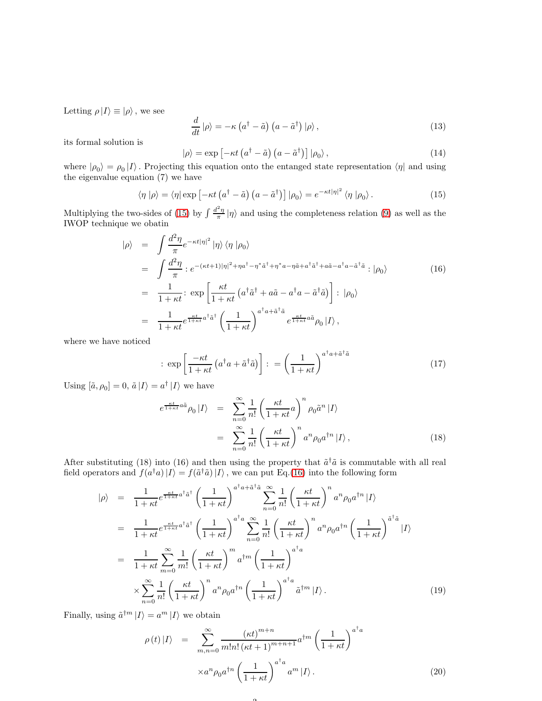Letting  $\rho |I\rangle \equiv |\rho\rangle$ , we see

$$
\frac{d}{dt}|\rho\rangle = -\kappa \left(a^{\dagger} - \tilde{a}\right) \left(a - \tilde{a}^{\dagger}\right) |\rho\rangle, \qquad (13)
$$

its formal solution is

$$
|\rho\rangle = \exp\left[-\kappa t \left(a^{\dagger} - \tilde{a}\right) \left(a - \tilde{a}^{\dagger}\right)\right] |\rho_0\rangle, \qquad (14)
$$

where  $|\rho_0\rangle = \rho_0 |I\rangle$ . Projecting this equation onto the entanged state representation  $\langle \eta |$  and using the eigenvalue equation (7) we have

<span id="page-2-0"></span>
$$
\langle \eta | \rho \rangle = \langle \eta | \exp \left[ -\kappa t \left( a^{\dagger} - \tilde{a} \right) \left( a - \tilde{a}^{\dagger} \right) \right] | \rho_0 \rangle = e^{-\kappa t |\eta|^2} \langle \eta | \rho_0 \rangle. \tag{15}
$$

Multiplying the two-sides of [\(15\)](#page-2-0) by  $\int \frac{d^2\eta}{\pi} |\eta\rangle$  and using the completeness relation [\(9\)](#page-1-1) as well as the IWOP technique we obatin

<span id="page-2-1"></span>
$$
\begin{split}\n|\rho\rangle &= \int \frac{d^2 \eta}{\pi} e^{-\kappa t |\eta|^2} |\eta\rangle \langle \eta | \rho_0 \rangle \\
&= \int \frac{d^2 \eta}{\pi} :e^{-(\kappa t+1)|\eta|^2 + \eta a^\dagger - \eta^* \tilde{a}^\dagger + \eta^* a - \eta \tilde{a} + a^\dagger \tilde{a}^\dagger + a\tilde{a} - a^\dagger a - \tilde{a}^\dagger \tilde{a} } : |\rho_0\rangle \\
&= \frac{1}{1+\kappa t} : \exp\left[\frac{\kappa t}{1+\kappa t} \left(a^\dagger \tilde{a}^\dagger + a\tilde{a} - a^\dagger a - \tilde{a}^\dagger \tilde{a}\right)\right] : |\rho_0\rangle \\
&= \frac{1}{1+\kappa t} e^{\frac{\kappa t}{1+\kappa t} a^\dagger \tilde{a}^\dagger} \left(\frac{1}{1+\kappa t}\right)^{a^\dagger a + \tilde{a}^\dagger \tilde{a}} e^{\frac{\kappa t}{1+\kappa t} a\tilde{a}} \rho_0 |I\rangle \,,\n\end{split} \tag{16}
$$

where we have noticed

$$
\therefore \exp\left[\frac{-\kappa t}{1+\kappa t} \left(a^{\dagger} a + \tilde{a}^{\dagger} \tilde{a}\right)\right] \therefore = \left(\frac{1}{1+\kappa t}\right)^{a^{\dagger} a + \tilde{a}^{\dagger} \tilde{a}} \tag{17}
$$

Using  $[\tilde{a}, \rho_0] = 0$ ,  $\tilde{a} |I\rangle = a^{\dagger} |I\rangle$  we have

$$
e^{\frac{\kappa t}{1+\kappa t}a\tilde{a}}\rho_0|I\rangle = \sum_{n=0}^{\infty} \frac{1}{n!} \left(\frac{\kappa t}{1+\kappa t}a\right)^n \rho_0 \tilde{a}^n|I\rangle
$$
  

$$
= \sum_{n=0}^{\infty} \frac{1}{n!} \left(\frac{\kappa t}{1+\kappa t}\right)^n a^n \rho_0 a^{\dagger n}|I\rangle, \qquad (18)
$$

After substituting (18) into (16) and then using the property that  $\tilde{a}^{\dagger} \tilde{a}$  is commutable with all real field operators and  $f(a^{\dagger}a)|I\rangle = f(\tilde{a}^{\dagger}\tilde{a})|I\rangle$ , we can put Eq.[\(16\)](#page-2-1) into the following form

 $\Omega$ 

$$
|\rho\rangle = \frac{1}{1+\kappa t} e^{\frac{\kappa t}{1+\kappa t} a^{\dagger} \tilde{a}^{\dagger}} \left(\frac{1}{1+\kappa t}\right)^{a^{\dagger} a + \tilde{a}^{\dagger} \tilde{a}} \sum_{n=0}^{\infty} \frac{1}{n!} \left(\frac{\kappa t}{1+\kappa t}\right)^n a^n \rho_0 a^{\dagger n} |I\rangle
$$
  
\n
$$
= \frac{1}{1+\kappa t} e^{\frac{\kappa t}{1+\kappa t} a^{\dagger} \tilde{a}^{\dagger}} \left(\frac{1}{1+\kappa t}\right)^{a^{\dagger} a} \sum_{n=0}^{\infty} \frac{1}{n!} \left(\frac{\kappa t}{1+\kappa t}\right)^n a^n \rho_0 a^{\dagger n} \left(\frac{1}{1+\kappa t}\right)^{\tilde{a}^{\dagger} \tilde{a}} |I\rangle
$$
  
\n
$$
= \frac{1}{1+\kappa t} \sum_{m=0}^{\infty} \frac{1}{m!} \left(\frac{\kappa t}{1+\kappa t}\right)^m a^{\dagger m} \left(\frac{1}{1+\kappa t}\right)^{a^{\dagger} a}
$$
  
\n
$$
\times \sum_{n=0}^{\infty} \frac{1}{n!} \left(\frac{\kappa t}{1+\kappa t}\right)^n a^n \rho_0 a^{\dagger n} \left(\frac{1}{1+\kappa t}\right)^{a^{\dagger} a} \tilde{a}^{\dagger m} |I\rangle.
$$
 (19)

Finally, using  $\tilde{a}^{\dagger m} |I\rangle = a^m |I\rangle$  we obtain

$$
\rho(t)|I\rangle = \sum_{m,n=0}^{\infty} \frac{(\kappa t)^{m+n}}{m!n! (\kappa t + 1)^{m+n+1}} a^{\dagger m} \left(\frac{1}{1+\kappa t}\right)^{a^{\dagger}a} \times a^n \rho_0 a^{\dagger n} \left(\frac{1}{1+\kappa t}\right)^{a^{\dagger}a} a^m |I\rangle.
$$
\n(20)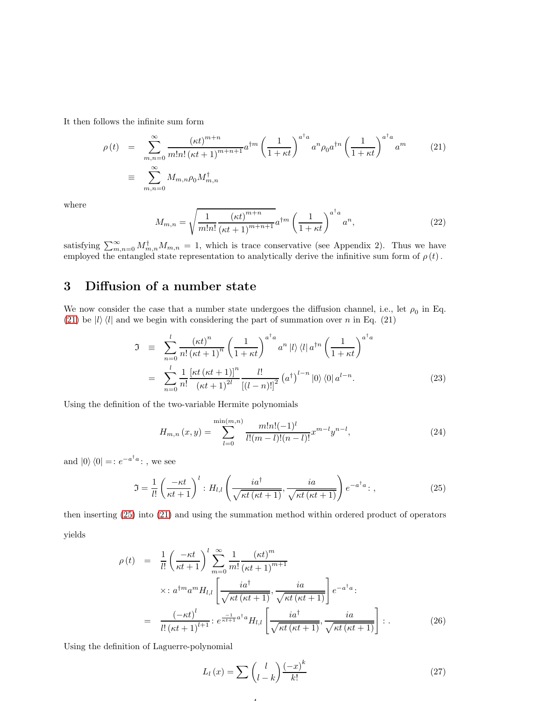It then follows the infinite sum form

<span id="page-3-0"></span>
$$
\rho(t) = \sum_{m,n=0}^{\infty} \frac{(\kappa t)^{m+n}}{m! n! (\kappa t + 1)^{m+n+1}} a^{m} \left(\frac{1}{1+\kappa t}\right)^{a^{\dagger} a} a^{n} \rho_0 a^{n} \left(\frac{1}{1+\kappa t}\right)^{a^{\dagger} a} a^{m}
$$
\n
$$
\equiv \sum_{m,n=0}^{\infty} M_{m,n} \rho_0 M_{m,n}^{\dagger}
$$
\n(21)

where

<span id="page-3-3"></span>
$$
M_{m,n} = \sqrt{\frac{1}{m!n!} \frac{(\kappa t)^{m+n}}{(\kappa t+1)^{m+n+1}}} a^{\dagger m} \left(\frac{1}{1+\kappa t}\right)^{a^{\dagger}a} a^n,
$$
\n(22)

satisfying  $\sum_{m,n=0}^{\infty} M_{m,n}^{\dagger} M_{m,n} = 1$ , which is trace conservative (see Appendix 2). Thus we have employed the entangled state representation to analytically derive the infinitive sum form of  $\rho(t)$ .

# 3 Diffusion of a number state

We now consider the case that a number state undergoes the diffusion channel, i.e., let  $\rho_0$  in Eq. [\(21\)](#page-3-0) be  $|l\rangle\langle l|$  and we begin with considering the part of summation over n in Eq. (21)

$$
\mathfrak{I} \equiv \sum_{n=0}^{l} \frac{(\kappa t)^n}{n! \left(\kappa t + 1\right)^n} \left(\frac{1}{1 + \kappa t}\right)^{a^\dagger a} a^n \left|l\right\rangle \left\langle l\right| a^{\dagger n} \left(\frac{1}{1 + \kappa t}\right)^{a^\dagger a}
$$

$$
= \sum_{n=0}^{l} \frac{1}{n!} \frac{\left[\kappa t \left(\kappa t + 1\right)\right]^n}{\left(\kappa t + 1\right)^{2l}} \frac{l!}{\left[(l - n)!\right]^2} \left(a^\dagger\right)^{l - n} \left|0\right\rangle \left\langle 0\right| a^{l - n}.\tag{23}
$$

Using the definition of the two-variable Hermite polynomials

$$
H_{m,n}(x,y) = \sum_{l=0}^{\min(m,n)} \frac{m!n!(-1)^l}{l!(m-l)!(n-l)!} x^{m-l} y^{n-l},
$$
\n(24)

and  $|0\rangle\langle 0|$  =:  $e^{-a^{\dagger}a}$ : , we see

<span id="page-3-1"></span>
$$
\mathfrak{I} = \frac{1}{l!} \left( \frac{-\kappa t}{\kappa t + 1} \right)^l : H_{l,l} \left( \frac{i a^\dagger}{\sqrt{\kappa t \left( \kappa t + 1 \right)}}, \frac{i a}{\sqrt{\kappa t \left( \kappa t + 1 \right)}} \right) e^{-a^\dagger a} : , \tag{25}
$$

then inserting [\(25\)](#page-3-1) into [\(21\)](#page-3-0) and using the summation method within ordered product of operators yields

4

<span id="page-3-2"></span>
$$
\rho(t) = \frac{1}{l!} \left(\frac{-\kappa t}{\kappa t + 1}\right)^l \sum_{m=0}^{\infty} \frac{1}{m!} \frac{(\kappa t)^m}{(\kappa t + 1)^{m+1}}
$$
  

$$
\times : a^{\dagger m} a^m H_{l,l} \left[\frac{i a^{\dagger}}{\sqrt{\kappa t} (\kappa t + 1)}, \frac{i a}{\sqrt{\kappa t} (\kappa t + 1)}\right] e^{-a^{\dagger} a}.
$$

$$
= \frac{(-\kappa t)^l}{l! (\kappa t + 1)^{l+1}} : e^{\frac{-1}{\kappa t + 1} a^{\dagger} a} H_{l,l} \left[\frac{i a^{\dagger}}{\sqrt{\kappa t} (\kappa t + 1)}, \frac{i a}{\sqrt{\kappa t} (\kappa t + 1)}\right] : . \tag{26}
$$

Using the definition of Laguerre-polynomial

$$
L_l(x) = \sum \binom{l}{l-k} \frac{(-x)^k}{k!} \tag{27}
$$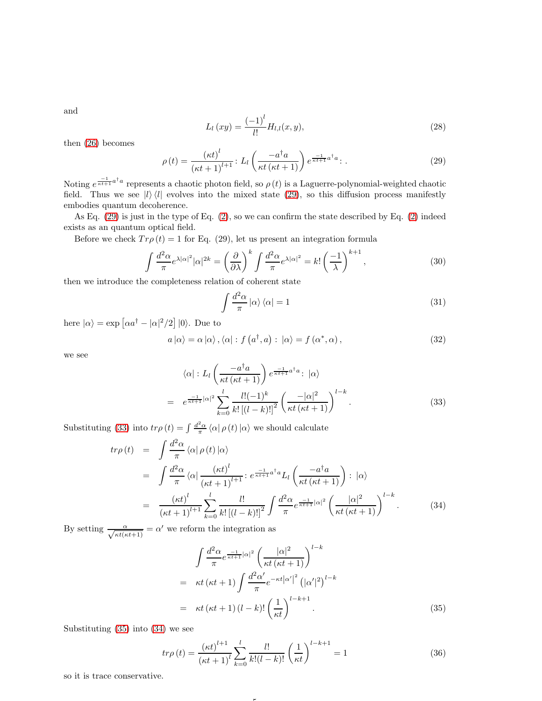and

$$
L_l(xy) = \frac{(-1)^l}{l!} H_{l,l}(x, y),
$$
\n(28)

then [\(26\)](#page-3-2) becomes

<span id="page-4-0"></span>
$$
\rho(t) = \frac{\left(\kappa t\right)^{l}}{\left(\kappa t + 1\right)^{l+1}} \colon L_{l}\left(\frac{-a^{\dagger}a}{\kappa t \left(\kappa t + 1\right)}\right) e^{\frac{-1}{\kappa t + 1}a^{\dagger}a} \colon .
$$
\n(29)

Noting  $e^{\frac{-1}{\kappa t+1}a^{\dagger}a}$  represents a chaotic photon field, so  $\rho(t)$  is a Laguerre-polynomial-weighted chaotic field. Thus we see  $|l\rangle\langle l|$  evolves into the mixed state [\(29\)](#page-4-0), so this diffusion process manifestly embodies quantum decoherence.

As Eq. [\(29\)](#page-4-0) is just in the type of Eq. [\(2\)](#page-0-0), so we can confirm the state described by Eq. [\(2\)](#page-0-0) indeed exists as an quantum optical field.

Before we check  $Tr \rho(t) = 1$  for Eq. (29), let us present an integration formula

$$
\int \frac{d^2 \alpha}{\pi} e^{\lambda |\alpha|^2} |\alpha|^{2k} = \left(\frac{\partial}{\partial \lambda}\right)^k \int \frac{d^2 \alpha}{\pi} e^{\lambda |\alpha|^2} = k! \left(\frac{-1}{\lambda}\right)^{k+1},\tag{30}
$$

then we introduce the completeness relation of coherent state

$$
\int \frac{d^2\alpha}{\pi} |\alpha\rangle \langle \alpha| = 1
$$
\n(31)

here  $|\alpha\rangle = \exp \left[ \alpha a^{\dagger} - |\alpha|^2/2 \right] |0\rangle$ . Due to

$$
a|\alpha\rangle = \alpha|\alpha\rangle, \langle\alpha|: f(a^{\dagger}, a): |\alpha\rangle = f(\alpha^*, \alpha), \qquad (32)
$$

we see

<span id="page-4-1"></span>
$$
\langle \alpha | : L_l \left( \frac{-a^{\dagger} a}{\kappa t (\kappa t + 1)} \right) e^{\frac{-1}{\kappa t + 1} a^{\dagger} a} : |\alpha \rangle
$$
  
= 
$$
e^{\frac{-1}{\kappa t + 1} |\alpha|^2} \sum_{k=0}^l \frac{l! (-1)^k}{k! \left[ (l-k)! \right]^2} \left( \frac{-|\alpha|^2}{\kappa t (\kappa t + 1)} \right)^{l-k}.
$$
 (33)

Substituting [\(33\)](#page-4-1) into  $tr\rho(t) = \int \frac{d^2\alpha}{\pi} \langle \alpha | \rho(t) | \alpha \rangle$  we should calculate

<span id="page-4-3"></span>
$$
tr\rho(t) = \int \frac{d^2\alpha}{\pi} \langle \alpha | \rho(t) | \alpha \rangle
$$
  
\n
$$
= \int \frac{d^2\alpha}{\pi} \langle \alpha | \frac{(\kappa t)^l}{(\kappa t + 1)^{l+1}} : e^{\frac{-1}{\kappa t + 1} a^\dagger a} L_l \left( \frac{-a^\dagger a}{\kappa t (\kappa t + 1)} \right) : |\alpha\rangle
$$
  
\n
$$
= \frac{(\kappa t)^l}{(\kappa t + 1)^{l+1}} \sum_{k=0}^l \frac{l!}{k! \left[ (l-k)! \right]^2} \int \frac{d^2\alpha}{\pi} e^{\frac{-1}{\kappa t + 1} |\alpha|^2} \left( \frac{|\alpha|^2}{\kappa t (\kappa t + 1)} \right)^{l-k} . \tag{34}
$$

By setting  $\frac{\alpha}{\sqrt{\kappa t(\kappa t+1)}} = \alpha'$  we reform the integration as

<span id="page-4-2"></span>
$$
\int \frac{d^2 \alpha}{\pi} e^{\frac{-1}{\kappa t + 1} |\alpha|^2} \left( \frac{|\alpha|^2}{\kappa t (\kappa t + 1)} \right)^{l - k}
$$
\n
$$
= \kappa t (\kappa t + 1) \int \frac{d^2 \alpha'}{\pi} e^{-\kappa t |\alpha'|^2} (|\alpha'|^2)^{l - k}
$$
\n
$$
= \kappa t (\kappa t + 1) (l - k)! \left( \frac{1}{\kappa t} \right)^{l - k + 1} . \tag{35}
$$

Substituting [\(35\)](#page-4-2) into [\(34\)](#page-4-3) we see

$$
tr\rho(t) = \frac{(\kappa t)^{l+1}}{(\kappa t + 1)^l} \sum_{k=0}^l \frac{l!}{k!(l-k)!} \left(\frac{1}{\kappa t}\right)^{l-k+1} = 1
$$
 (36)

5

so it is trace conservative.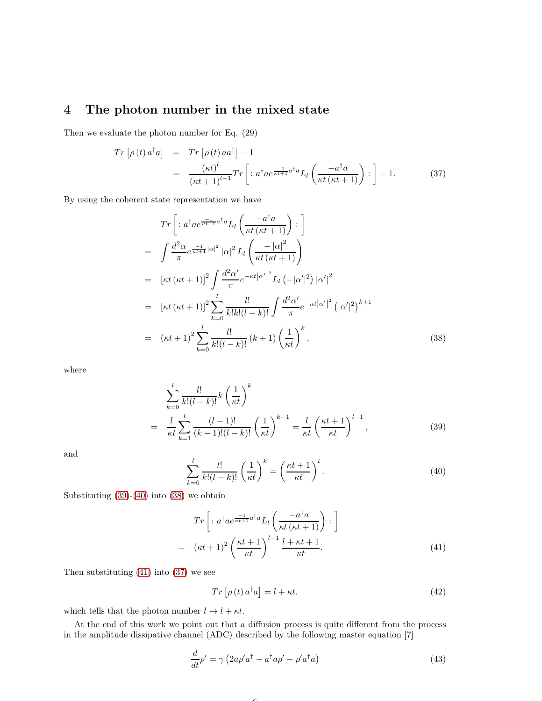# 4 The photon number in the mixed state

Then we evaluate the photon number for Eq. (29)

<span id="page-5-4"></span>
$$
Tr\left[\rho(t)\,a^{\dagger}a\right] = Tr\left[\rho(t)\,aa^{\dagger}\right] - 1
$$
\n
$$
= \frac{(\kappa t)^l}{(\kappa t + 1)^{l+1}}Tr\left[\,:\,a^{\dagger}ae^{\frac{-1}{\kappa t + 1}a^{\dagger}a}L_l\left(\frac{-a^{\dagger}a}{\kappa t\,(\kappa t + 1)}\right) : \,\right] - 1. \tag{37}
$$

By using the coherent state representation we have

<span id="page-5-2"></span>
$$
Tr\left[:a^{\dagger}ae^{\frac{-1}{\kappa t+1}a^{\dagger}a}L_{l}\left(\frac{-a^{\dagger}a}{\kappa t(\kappa t+1)}\right): \right]
$$
\n
$$
=\int \frac{d^{2}\alpha}{\pi}e^{\frac{-1}{\kappa t+1}|\alpha|^{2}}|\alpha|^{2}L_{l}\left(\frac{-|\alpha|^{2}}{\kappa t(\kappa t+1)}\right)
$$
\n
$$
=\left[\kappa t\left(\kappa t+1\right)\right]^{2}\int \frac{d^{2}\alpha'}{\pi}e^{-\kappa t|\alpha'|^{2}}L_{l}\left(-|\alpha'|^{2}\right)|\alpha'|^{2}
$$
\n
$$
=\left[\kappa t\left(\kappa t+1\right)\right]^{2}\sum_{k=0}^{l}\frac{l!}{k!k!(l-k)!}\int \frac{d^{2}\alpha'}{\pi}e^{-\kappa t|\alpha'|^{2}}\left(|\alpha'|^{2}\right)^{k+1}
$$
\n
$$
=\left(\kappa t+1\right)^{2}\sum_{k=0}^{l}\frac{l!}{k!(l-k)!}\left(k+1\right)\left(\frac{1}{\kappa t}\right)^{k},\tag{38}
$$

where

<span id="page-5-0"></span>
$$
\sum_{k=0}^{l} \frac{l!}{k!(l-k)!} k \left(\frac{1}{\kappa t}\right)^k
$$
\n
$$
= \frac{l}{\kappa t} \sum_{k=1}^{l} \frac{(l-1)!}{(k-1)!(l-k)!} \left(\frac{1}{\kappa t}\right)^{k-1} = \frac{l}{\kappa t} \left(\frac{\kappa t + 1}{\kappa t}\right)^{l-1},
$$
\n(39)

and

<span id="page-5-1"></span>
$$
\sum_{k=0}^{l} \frac{l!}{k!(l-k)!} \left(\frac{1}{\kappa t}\right)^k = \left(\frac{\kappa t + 1}{\kappa t}\right)^l.
$$
\n(40)

Substituting [\(39\)](#page-5-0)-[\(40\)](#page-5-1) into [\(38\)](#page-5-2) we obtain

<span id="page-5-3"></span>
$$
Tr\left[:a^{\dagger}ae^{\frac{-1}{\kappa t+1}a^{\dagger}a}L_{l}\left(\frac{-a^{\dagger}a}{\kappa t(\kappa t+1)}\right):\right]
$$

$$
= (\kappa t+1)^{2}\left(\frac{\kappa t+1}{\kappa t}\right)^{l-1}\frac{l+\kappa t+1}{\kappa t}.
$$
(41)

Then substituting [\(41\)](#page-5-3) into [\(37\)](#page-5-4) we see

$$
Tr\left[\rho\left(t\right)a^{\dagger}a\right] = l + \kappa t. \tag{42}
$$

which tells that the photon number  $l \rightarrow l + \kappa t.$ 

At the end of this work we point out that a diffusion process is quite different from the process in the amplitude dissipative channel (ADC) described by the following master equation [7]

 $\epsilon$ 

<span id="page-5-5"></span>
$$
\frac{d}{dt}\rho' = \gamma \left(2a\rho' a^\dagger - a^\dagger a\rho' - \rho' a^\dagger a\right)
$$
\n(43)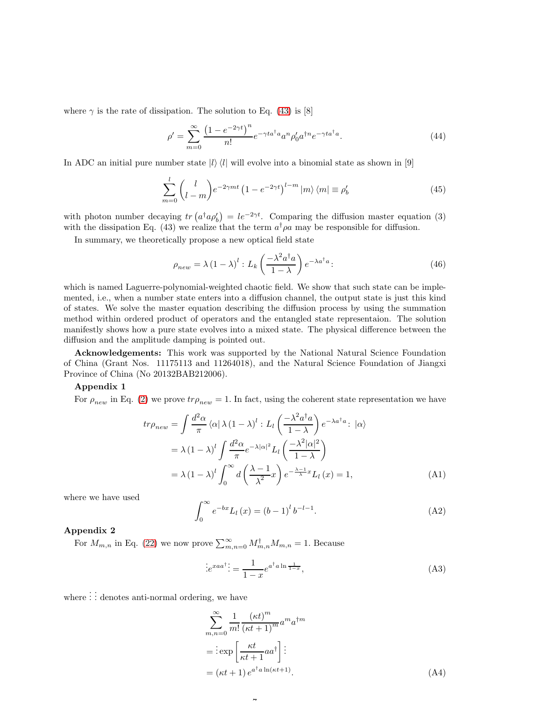where  $\gamma$  is the rate of dissipation. The solution to Eq. [\(43\)](#page-5-5) is [8]

$$
\rho' = \sum_{m=0}^{\infty} \frac{\left(1 - e^{-2\gamma t}\right)^n}{n!} e^{-\gamma t a^\dagger a} a^n \rho'_0 a^{\dagger n} e^{-\gamma t a^\dagger a}.\tag{44}
$$

In ADC an initial pure number state  $|l\rangle\langle l|$  will evolve into a binomial state as shown in [9]

$$
\sum_{m=0}^{l} {l \choose l-m} e^{-2\gamma mt} \left(1 - e^{-2\gamma t}\right)^{l-m} |m\rangle \langle m| \equiv \rho'_b \tag{45}
$$

with photon number decaying  $tr(a^{\dagger} a \rho'_b) = le^{-2\gamma t}$ . Comparing the diffusion master equation (3) with the dissipation Eq. (43) we realize that the term  $a^{\dagger} \rho a$  may be responsible for diffusion.

In summary, we theoretically propose a new optical field state

$$
\rho_{new} = \lambda \left(1 - \lambda\right)^l : L_k\left(\frac{-\lambda^2 a^\dagger a}{1 - \lambda}\right) e^{-\lambda a^\dagger a}:\tag{46}
$$

which is named Laguerre-polynomial-weighted chaotic field. We show that such state can be implemented, i.e., when a number state enters into a diffusion channel, the output state is just this kind of states. We solve the master equation describing the diffusion process by using the summation method within ordered product of operators and the entangled state representaion. The solution manifestly shows how a pure state evolves into a mixed state. The physical difference between the diffusion and the amplitude damping is pointed out.

Acknowledgements: This work was supported by the National Natural Science Foundation of China (Grant Nos. 11175113 and 11264018), and the Natural Science Foundation of Jiangxi Province of China (No 20132BAB212006).

#### Appendix 1

For  $\rho_{new}$  in Eq. [\(2\)](#page-0-0) we prove  $tr\rho_{new} = 1$ . In fact, using the coherent state representation we have

 $\overline{ }$ 

$$
tr\rho_{new} = \int \frac{d^2\alpha}{\pi} \langle \alpha | \lambda (1 - \lambda)^l : L_l \left( \frac{-\lambda^2 a^\dagger a}{1 - \lambda} \right) e^{-\lambda a^\dagger a} : |\alpha\rangle
$$
  
=  $\lambda (1 - \lambda)^l \int \frac{d^2\alpha}{\pi} e^{-\lambda |\alpha|^2} L_l \left( \frac{-\lambda^2 |\alpha|^2}{1 - \lambda} \right)$   
=  $\lambda (1 - \lambda)^l \int_0^\infty d \left( \frac{\lambda - 1}{\lambda^2} x \right) e^{-\frac{\lambda - 1}{\lambda} x} L_l(x) = 1,$  (A1)

where we have used

$$
\int_0^\infty e^{-bx} L_l(x) = (b-1)^l b^{-l-1}.
$$
 (A2)

### Appendix 2

For  $M_{m,n}$  in Eq. [\(22\)](#page-3-3) we now prove  $\sum_{m,n=0}^{\infty} M_{m,n}^{\dagger} M_{m,n} = 1$ . Because

$$
\therefore e^{xaa^{\dagger}} \mathbf{.} = \frac{1}{1-x} e^{a^{\dagger}a \ln \frac{1}{1-x}},\tag{A3}
$$

where  $\vdots$  denotes anti-normal ordering, we have

$$
\sum_{m,n=0}^{\infty} \frac{1}{m!} \frac{(\kappa t)^m}{(\kappa t + 1)^m} a^m a^{\dagger m}
$$
  
= 
$$
\frac{\cos \left[\frac{\kappa t}{\kappa t + 1} a a^{\dagger}\right] \cdots}{\kappa t + 1} e^{a^{\dagger} a \ln(\kappa t + 1)}.
$$
 (A4)